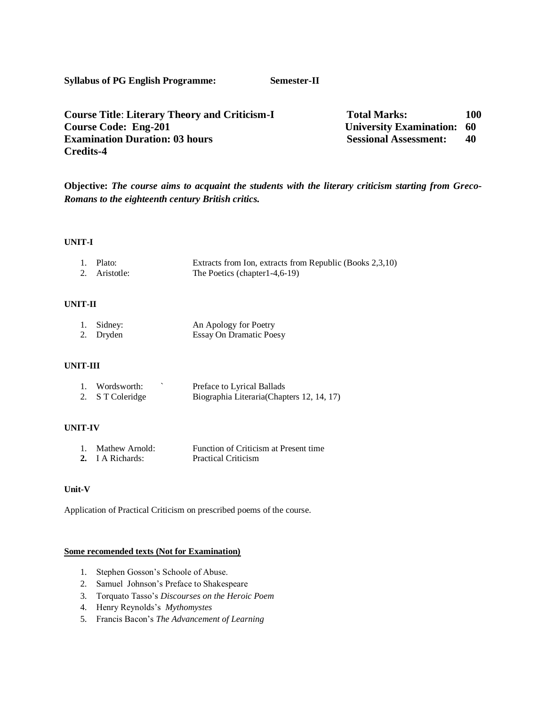**Syllabus of PG English Programme: Semester-II**

| <b>Course Title: Literary Theory and Criticism-I</b> | <b>Total Marks:</b>               | 100 |
|------------------------------------------------------|-----------------------------------|-----|
| <b>Course Code: Eng-201</b>                          | <b>University Examination: 60</b> |     |
| <b>Examination Duration: 03 hours</b>                | <b>Sessional Assessment:</b>      | 40  |
| <b>Credits-4</b>                                     |                                   |     |

**Objective:** *The course aims to acquaint the students with the literary criticism starting from Greco-Romans to the eighteenth century British critics.*

## **UNIT-I**

| 1. Plato:     | Extracts from Ion, extracts from Republic (Books 2,3,10) |
|---------------|----------------------------------------------------------|
| 2. Aristotle: | The Poetics (chapter $1-4, 6-19$ )                       |

# **UNIT-II**

| 1. Sidney: | An Apology for Poetry          |
|------------|--------------------------------|
| 2. Dryden  | <b>Essay On Dramatic Poesy</b> |

# **UNIT-III**

| 1. Wordsworth:   | Preface to Lyrical Ballads                 |
|------------------|--------------------------------------------|
| 2. S T Coleridge | Biographia Literaria (Chapters 12, 14, 17) |

# **UNIT-IV**

| 1. Mathew Arnold: | Function of Criticism at Present time |
|-------------------|---------------------------------------|
| 2. I A Richards:  | <b>Practical Criticism</b>            |

# **Unit-V**

Application of Practical Criticism on prescribed poems of the course.

## **Some recomended texts (Not for Examination)**

- 1. Stephen Gosson's Schoole of Abuse.
- 2. Samuel Johnson's Preface to Shakespeare
- 3. Torquato Tasso's *Discourses on the Heroic Poem*
- 4. Henry Reynolds's *Mythomystes*
- 5. Francis Bacon's *The Advancement of Learning*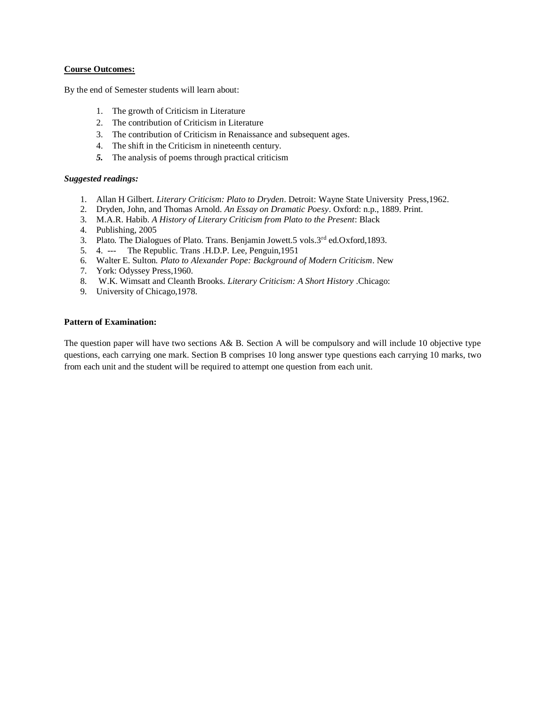## **Course Outcomes:**

By the end of Semester students will learn about:

- 1. The growth of Criticism in Literature
- 2. The contribution of Criticism in Literature
- 3. The contribution of Criticism in Renaissance and subsequent ages.
- 4. The shift in the Criticism in nineteenth century.
- *5.* The analysis of poems through practical criticism

## *Suggested readings:*

- 1. Allan H Gilbert. *Literary Criticism: Plato to Dryden*. Detroit: Wayne State University Press,1962.
- 2. Dryden, John, and Thomas Arnold. *An Essay on Dramatic Poesy*. Oxford: n.p., 1889. Print.
- 3. M.A.R. Habib. *A History of Literary Criticism from Plato to the Present*: Black
- 4. Publishing, 2005
- 3. Plato. The Dialogues of Plato. Trans. Benjamin Jowett.5 vols.3rd ed.Oxford,1893.
- 5. 4. --- The Republic. Trans .H.D.P. Lee, Penguin,1951
- 6. Walter E. Sulton*. Plato to Alexander Pope: Background of Modern Criticism*. New
- 7. York: Odyssey Press,1960.
- 8. W.K. Wimsatt and Cleanth Brooks*. Literary Criticism: A Short History* .Chicago:
- 9. University of Chicago,1978.

## **Pattern of Examination:**

The question paper will have two sections A& B. Section A will be compulsory and will include 10 objective type questions, each carrying one mark. Section B comprises 10 long answer type questions each carrying 10 marks, two from each unit and the student will be required to attempt one question from each unit.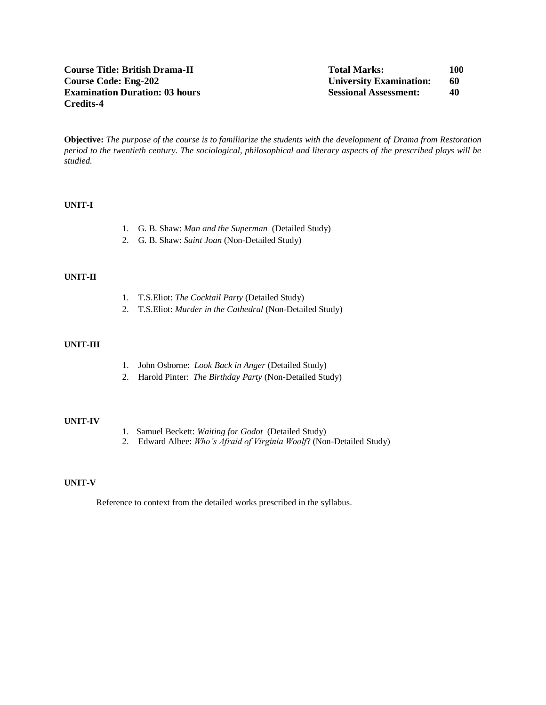**Objective:** *The purpose of the course is to familiarize the students with the development of Drama from Restoration period to the twentieth century. The sociological, philosophical and literary aspects of the prescribed plays will be studied.*

## **UNIT-I**

- 1. G. B. Shaw: *Man and the Superman* (Detailed Study)
- 2. G. B. Shaw: *Saint Joan* (Non-Detailed Study)

#### **UNIT-II**

- 1. T.S.Eliot: *The Cocktail Party* (Detailed Study)
- 2. T.S.Eliot: *Murder in the Cathedral* (Non-Detailed Study)

# **UNIT-III**

- 1. John Osborne: *Look Back in Anger* (Detailed Study)
- 2. Harold Pinter: *The Birthday Party* (Non-Detailed Study)

### **UNIT-IV**

- 1. Samuel Beckett: *Waiting for Godot* (Detailed Study)
- 2. Edward Albee: *Who's Afraid of Virginia Woolf*? (Non-Detailed Study)

### **UNIT-V**

Reference to context from the detailed works prescribed in the syllabus.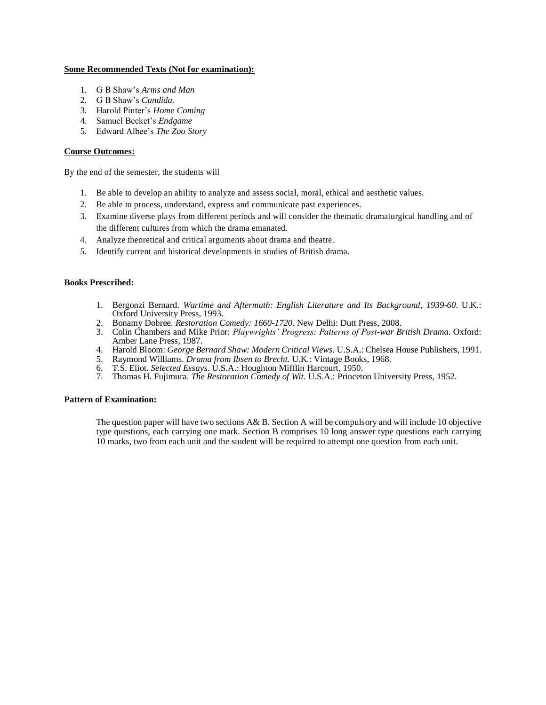## **Some Recommended Texts (Not for examination):**

- 1. G B Shaw's *Arms and Man*
- 2. G B Shaw's *Candida.*
- 3. Harold Pinter's *Home Coming*
- 4. Samuel Becket's *Endgame*
- 5. Edward Albee's *The Zoo Story*

## **Course Outcomes:**

By the end of the semester, the students will

- 1. Be able to develop an ability to analyze and assess social, moral, ethical and aesthetic values.
- 2. Be able to process, understand, express and communicate past experiences.
- 3. Examine diverse plays from different periods and will consider the thematic dramaturgical handling and of the different cultures from which the drama emanated.
- 4. Analyze theoretical and critical arguments about drama and theatre.
- 5. Identify current and historical developments in studies of British drama.

### **Books Prescribed:**

- 1. Bergonzi Bernard. *Wartime and Aftermath: English Literature and Its Background*, *1939-60*. U.K.: Oxford University Press, 1993.
- 2. Bonamy Dobree. *Restoration Comedy: 1660-1720*. New Delhi: Dutt Press, 2008.
- 3. Colin Chambers and Mike Prior: *Playwrights' Progress: Patterns of Post-war British Drama*. Oxford: Amber Lane Press, 1987.
- 4. Harold Bloom: *George Bernard Shaw: Modern Critical Views*. U.S.A.: Chelsea House Publishers, 1991.
- 5. Raymond Williams. *Drama from Ibsen to Brecht.* U.K*.*: Vintage Books, 1968.
- 6. T.S. Eliot. *Selected Essays.* U.S.A.: Houghton Mifflin Harcourt, 1950.
- 7. Thomas H. Fujimura. *The Restoration Comedy of Wit.* U.S.A.: Princeton University Press, 1952.

### **Pattern of Examination:**

The question paper will have two sections A& B. Section A will be compulsory and will include 10 objective type questions, each carrying one mark. Section B comprises 10 long answer type questions each carrying 10 marks, two from each unit and the student will be required to attempt one question from each unit.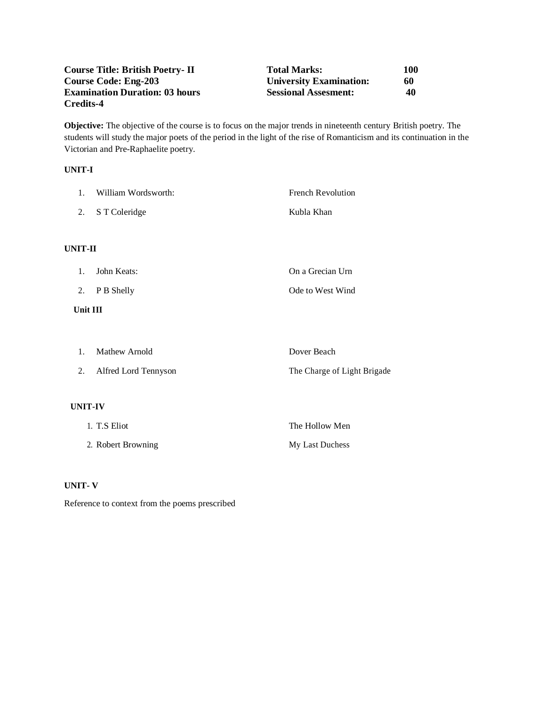| <b>Course Title: British Poetry-II</b> | <b>Total Marks:</b>            | 100 |
|----------------------------------------|--------------------------------|-----|
| <b>Course Code: Eng-203</b>            | <b>University Examination:</b> | 60  |
| <b>Examination Duration: 03 hours</b>  | <b>Sessional Assesment:</b>    | 40  |
| Credits-4                              |                                |     |

**Objective:** The objective of the course is to focus on the major trends in nineteenth century British poetry. The students will study the major poets of the period in the light of the rise of Romanticism and its continuation in the Victorian and Pre-Raphaelite poetry.

# **UNIT-I**

| 1.             | William Wordsworth:  | <b>French Revolution</b>    |
|----------------|----------------------|-----------------------------|
| 2.             | S T Coleridge        | Kubla Khan                  |
|                |                      |                             |
| <b>UNIT-II</b> |                      |                             |
| 1.             | John Keats:          | On a Grecian Urn            |
| 2.             | P B Shelly           | Ode to West Wind            |
| Unit III       |                      |                             |
|                |                      |                             |
| 1.             | Mathew Arnold        | Dover Beach                 |
| 2.             | Alfred Lord Tennyson | The Charge of Light Brigade |
|                |                      |                             |
| <b>UNIT-IV</b> |                      |                             |
|                | 1. T.S Eliot         | The Hollow Men              |
|                | 2. Robert Browning   | My Last Duchess             |

# **UNIT- V**

Reference to context from the poems prescribed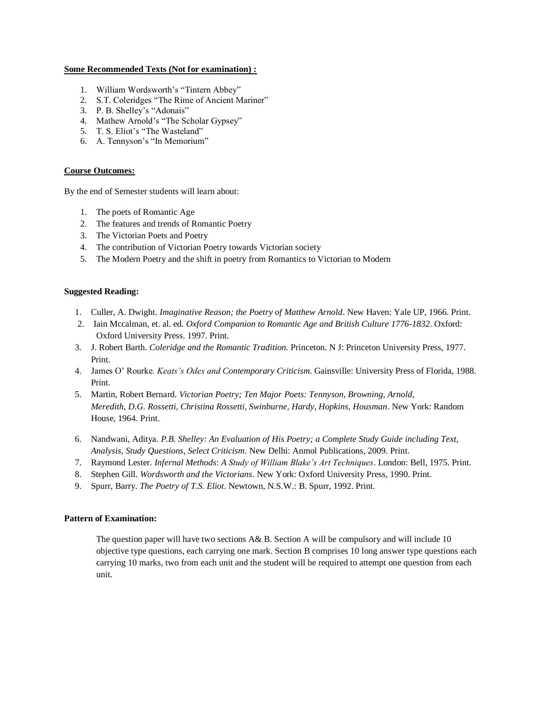### **Some Recommended Texts (Not for examination) :**

- 1. William Wordsworth's "Tintern Abbey"
- 2. S.T. Coleridges "The Rime of Ancient Mariner"
- 3. P. B. Shelley's "Adonais"
- 4. Mathew Arnold's "The Scholar Gypsey"
- 5. T. S. Eliot's "The Wasteland"
- 6. A. Tennyson's "In Memorium"

# **Course Outcomes:**

By the end of Semester students will learn about:

- 1. The poets of Romantic Age
- 2. The features and trends of Romantic Poetry
- 3. The Victorian Poets and Poetry
- 4. The contribution of Victorian Poetry towards Victorian society
- 5. The Modern Poetry and the shift in poetry from Romantics to Victorian to Modern

# **Suggested Reading:**

- 1. Culler, A. Dwight. *Imaginative Reason; the Poetry of Matthew Arnold*. New Haven: Yale UP, 1966. Print.
- 2. Iain Mccalman, et. al. ed*. Oxford Companion to Romantic Age and British Culture 1776-1832*. Oxford: Oxford University Press. 1997. Print.
- 3. J. Robert Barth. *Coleridge and the Romantic Tradition.* Princeton. N J: Princeton University Press, 1977. Print.
- 4. James O' Rourke*. Keats's Odes and Contemporary Criticism.* Gainsville: University Press of Florida, 1988. Print.
- 5. Martin, Robert Bernard. *Victorian Poetry; Ten Major Poets: Tennyson, Browning, Arnold, Meredith, D.G. Rossetti, Christina Rossetti, Swinburne, Hardy, Hopkins, Housman*. New York: Random House, 1964. Print.
- 6. Nandwani, Aditya. *P.B. Shelley: An Evaluation of His Poetry; a Complete Study Guide including Text, Analysis, Study Questions, Select Criticism*. New Delhi: Anmol Publications, 2009. Print.
- 7. Raymond Lester. *Infernal Methods*: *A Study of William Blake's Art Techniques*. London: Bell, 1975. Print.
- 8. Stephen Gill. *Wordsworth and the Victorians*. New York: Oxford University Press, 1990. Print.
- 9. Spurr, Barry. *The Poetry of T.S. Eliot*. Newtown, N.S.W.: B. Spurr, 1992. Print.

# **Pattern of Examination:**

The question paper will have two sections A& B. Section A will be compulsory and will include 10 objective type questions, each carrying one mark. Section B comprises 10 long answer type questions each carrying 10 marks, two from each unit and the student will be required to attempt one question from each unit.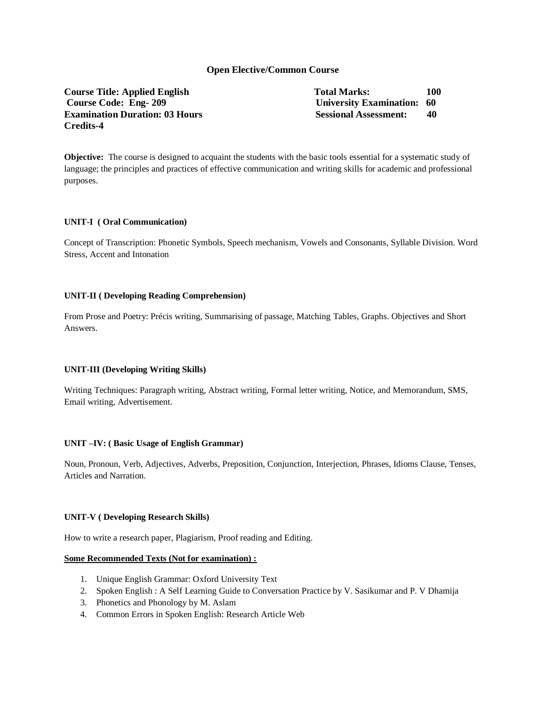# **Open Elective/Common Course**

**Course Title: Applied English Total Marks:** 100 **Course Code: Eng- 209 University Examination: 60 Examination Duration: 03 Hours Sessional Assessment: 40 Sessional Assessment: 40 Credits-4** 

**Objective:** The course is designed to acquaint the students with the basic tools essential for a systematic study of language; the principles and practices of effective communication and writing skills for academic and professional purposes.

## **UNIT-I ( Oral Communication)**

Concept of Transcription: Phonetic Symbols, Speech mechanism, Vowels and Consonants, Syllable Division. Word Stress, Accent and Intonation

### **UNIT-II ( Developing Reading Comprehension)**

From Prose and Poetry: Précis writing, Summarising of passage, Matching Tables, Graphs. Objectives and Short Answers.

# **UNIT-III (Developing Writing Skills)**

Writing Techniques: Paragraph writing, Abstract writing, Formal letter writing, Notice, and Memorandum, SMS, Email writing, Advertisement.

### **UNIT –IV: ( Basic Usage of English Grammar)**

Noun, Pronoun, Verb, Adjectives, Adverbs, Preposition, Conjunction, Interjection, Phrases, Idioms Clause, Tenses, Articles and Narration.

### **UNIT-V ( Developing Research Skills)**

How to write a research paper, Plagiarism, Proof reading and Editing.

## **Some Recommended Texts (Not for examination) :**

- 1. Unique English Grammar: Oxford University Text
- 2. Spoken English : A Self Learning Guide to Conversation Practice by V. Sasikumar and P. V Dhamija
- 3. Phonetics and Phonology by M. Aslam
- 4. Common Errors in Spoken English: Research Article Web